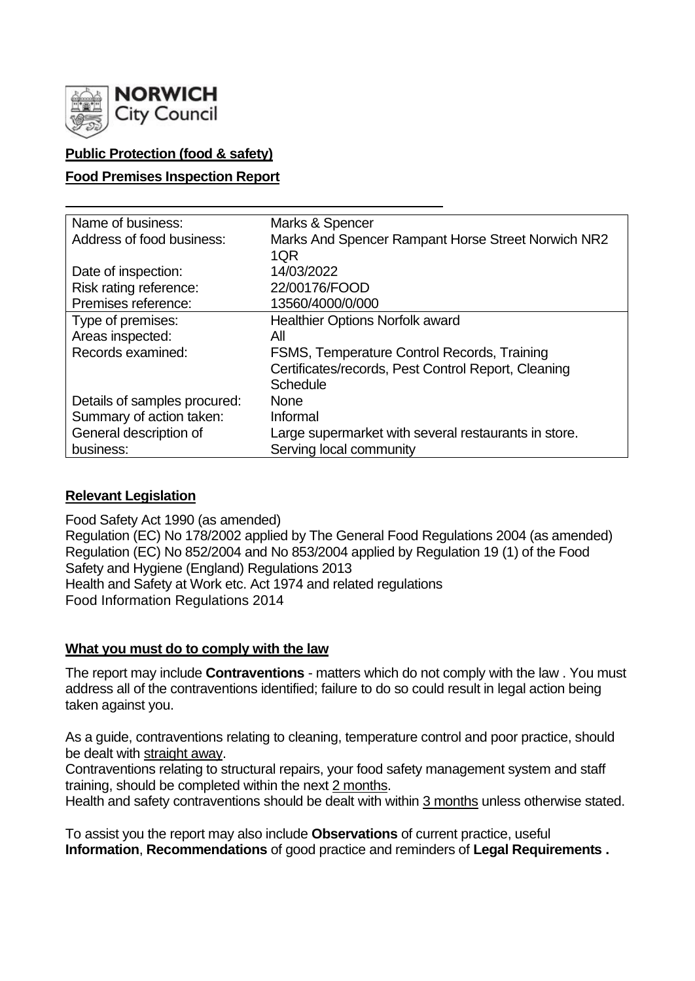

# **Public Protection (food & safety)**

## **Food Premises Inspection Report**

| Name of business:            | Marks & Spencer                                      |
|------------------------------|------------------------------------------------------|
| Address of food business:    | Marks And Spencer Rampant Horse Street Norwich NR2   |
|                              | 1QR                                                  |
| Date of inspection:          | 14/03/2022                                           |
| Risk rating reference:       | 22/00176/FOOD                                        |
| Premises reference:          | 13560/4000/0/000                                     |
| Type of premises:            | <b>Healthier Options Norfolk award</b>               |
| Areas inspected:             | All                                                  |
| Records examined:            | FSMS, Temperature Control Records, Training          |
|                              | Certificates/records, Pest Control Report, Cleaning  |
|                              | <b>Schedule</b>                                      |
| Details of samples procured: | <b>None</b>                                          |
| Summary of action taken:     | Informal                                             |
| General description of       | Large supermarket with several restaurants in store. |
| business:                    | Serving local community                              |

# **Relevant Legislation**

Food Safety Act 1990 (as amended) Regulation (EC) No 178/2002 applied by The General Food Regulations 2004 (as amended) Regulation (EC) No 852/2004 and No 853/2004 applied by Regulation 19 (1) of the Food Safety and Hygiene (England) Regulations 2013 Health and Safety at Work etc. Act 1974 and related regulations Food Information Regulations 2014

## **What you must do to comply with the law**

The report may include **Contraventions** - matters which do not comply with the law . You must address all of the contraventions identified; failure to do so could result in legal action being taken against you.

As a guide, contraventions relating to cleaning, temperature control and poor practice, should be dealt with straight away.

Contraventions relating to structural repairs, your food safety management system and staff training, should be completed within the next 2 months.

Health and safety contraventions should be dealt with within 3 months unless otherwise stated.

To assist you the report may also include **Observations** of current practice, useful **Information**, **Recommendations** of good practice and reminders of **Legal Requirements .**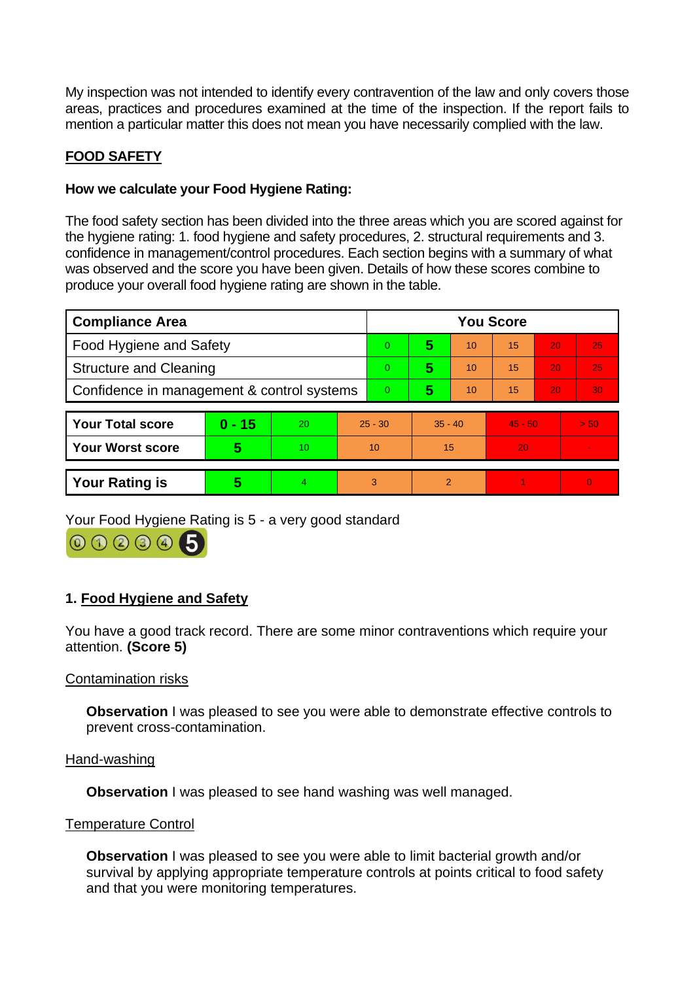My inspection was not intended to identify every contravention of the law and only covers those areas, practices and procedures examined at the time of the inspection. If the report fails to mention a particular matter this does not mean you have necessarily complied with the law.

# **FOOD SAFETY**

## **How we calculate your Food Hygiene Rating:**

The food safety section has been divided into the three areas which you are scored against for the hygiene rating: 1. food hygiene and safety procedures, 2. structural requirements and 3. confidence in management/control procedures. Each section begins with a summary of what was observed and the score you have been given. Details of how these scores combine to produce your overall food hygiene rating are shown in the table.

| <b>Compliance Area</b>                     |          |    |           | <b>You Score</b> |                          |    |           |    |          |  |  |
|--------------------------------------------|----------|----|-----------|------------------|--------------------------|----|-----------|----|----------|--|--|
| <b>Food Hygiene and Safety</b>             |          |    |           | $\overline{0}$   | 5                        | 10 | 15        | 20 | 25       |  |  |
| <b>Structure and Cleaning</b>              |          |    |           | $\overline{0}$   | 5                        | 10 | 15        | 20 | 25       |  |  |
| Confidence in management & control systems |          |    |           | $\Omega$         | 5                        | 10 | 15        | 20 | 30       |  |  |
|                                            |          |    |           |                  |                          |    |           |    |          |  |  |
| <b>Your Total score</b>                    | $0 - 15$ | 20 | $25 - 30$ |                  | $35 - 40$                |    | $45 - 50$ |    | > 50     |  |  |
| <b>Your Worst score</b>                    | 5        | 10 | 10        |                  | 15                       |    | 20        |    |          |  |  |
|                                            |          |    |           |                  |                          |    |           |    |          |  |  |
| <b>Your Rating is</b>                      | 5        | 4  | 3         |                  | $\overline{\mathcal{L}}$ |    |           |    | $\Omega$ |  |  |

Your Food Hygiene Rating is 5 - a very good standard



# **1. Food Hygiene and Safety**

You have a good track record. There are some minor contraventions which require your attention. **(Score 5)**

## Contamination risks

**Observation** I was pleased to see you were able to demonstrate effective controls to prevent cross-contamination.

#### Hand-washing

**Observation** I was pleased to see hand washing was well managed.

## Temperature Control

**Observation** I was pleased to see you were able to limit bacterial growth and/or survival by applying appropriate temperature controls at points critical to food safety and that you were monitoring temperatures.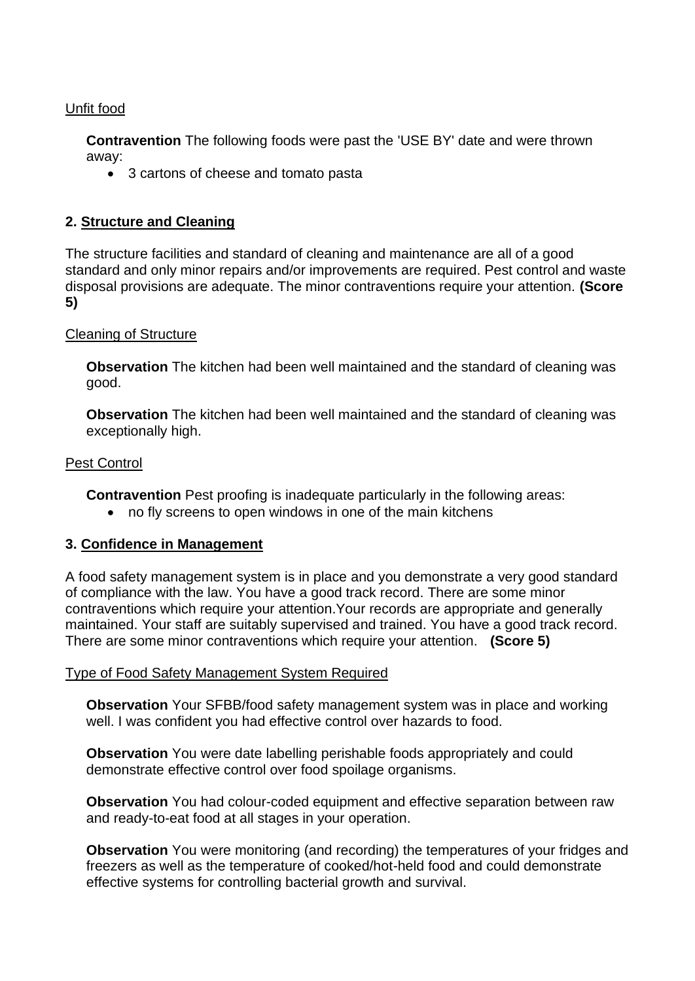## Unfit food

**Contravention** The following foods were past the 'USE BY' date and were thrown away:

• 3 cartons of cheese and tomato pasta

## **2. Structure and Cleaning**

The structure facilities and standard of cleaning and maintenance are all of a good standard and only minor repairs and/or improvements are required. Pest control and waste disposal provisions are adequate. The minor contraventions require your attention. **(Score 5)**

### Cleaning of Structure

**Observation** The kitchen had been well maintained and the standard of cleaning was good.

**Observation** The kitchen had been well maintained and the standard of cleaning was exceptionally high.

### Pest Control

**Contravention** Pest proofing is inadequate particularly in the following areas:

• no fly screens to open windows in one of the main kitchens

## **3. Confidence in Management**

A food safety management system is in place and you demonstrate a very good standard of compliance with the law. You have a good track record. There are some minor contraventions which require your attention.Your records are appropriate and generally maintained. Your staff are suitably supervised and trained. You have a good track record. There are some minor contraventions which require your attention. **(Score 5)**

## Type of Food Safety Management System Required

**Observation** Your SFBB/food safety management system was in place and working well. I was confident you had effective control over hazards to food.

**Observation** You were date labelling perishable foods appropriately and could demonstrate effective control over food spoilage organisms.

**Observation** You had colour-coded equipment and effective separation between raw and ready-to-eat food at all stages in your operation.

**Observation** You were monitoring (and recording) the temperatures of your fridges and freezers as well as the temperature of cooked/hot-held food and could demonstrate effective systems for controlling bacterial growth and survival.